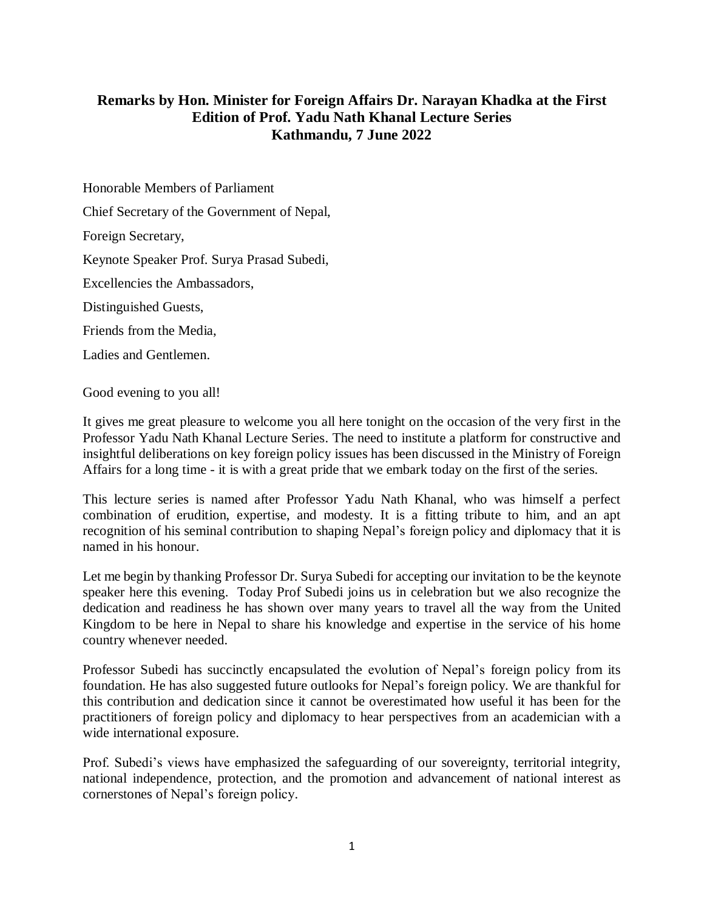## **Remarks by Hon. Minister for Foreign Affairs Dr. Narayan Khadka at the First Edition of Prof. Yadu Nath Khanal Lecture Series Kathmandu, 7 June 2022**

Honorable Members of Parliament

Chief Secretary of the Government of Nepal,

Foreign Secretary,

Keynote Speaker Prof. Surya Prasad Subedi,

Excellencies the Ambassadors,

Distinguished Guests,

Friends from the Media,

Ladies and Gentlemen.

Good evening to you all!

It gives me great pleasure to welcome you all here tonight on the occasion of the very first in the Professor Yadu Nath Khanal Lecture Series. The need to institute a platform for constructive and insightful deliberations on key foreign policy issues has been discussed in the Ministry of Foreign Affairs for a long time - it is with a great pride that we embark today on the first of the series.

This lecture series is named after Professor Yadu Nath Khanal, who was himself a perfect combination of erudition, expertise, and modesty. It is a fitting tribute to him, and an apt recognition of his seminal contribution to shaping Nepal's foreign policy and diplomacy that it is named in his honour.

Let me begin by thanking Professor Dr. Surya Subedi for accepting our invitation to be the keynote speaker here this evening. Today Prof Subedi joins us in celebration but we also recognize the dedication and readiness he has shown over many years to travel all the way from the United Kingdom to be here in Nepal to share his knowledge and expertise in the service of his home country whenever needed.

Professor Subedi has succinctly encapsulated the evolution of Nepal's foreign policy from its foundation. He has also suggested future outlooks for Nepal's foreign policy. We are thankful for this contribution and dedication since it cannot be overestimated how useful it has been for the practitioners of foreign policy and diplomacy to hear perspectives from an academician with a wide international exposure.

Prof. Subedi's views have emphasized the safeguarding of our sovereignty, territorial integrity, national independence, protection, and the promotion and advancement of national interest as cornerstones of Nepal's foreign policy.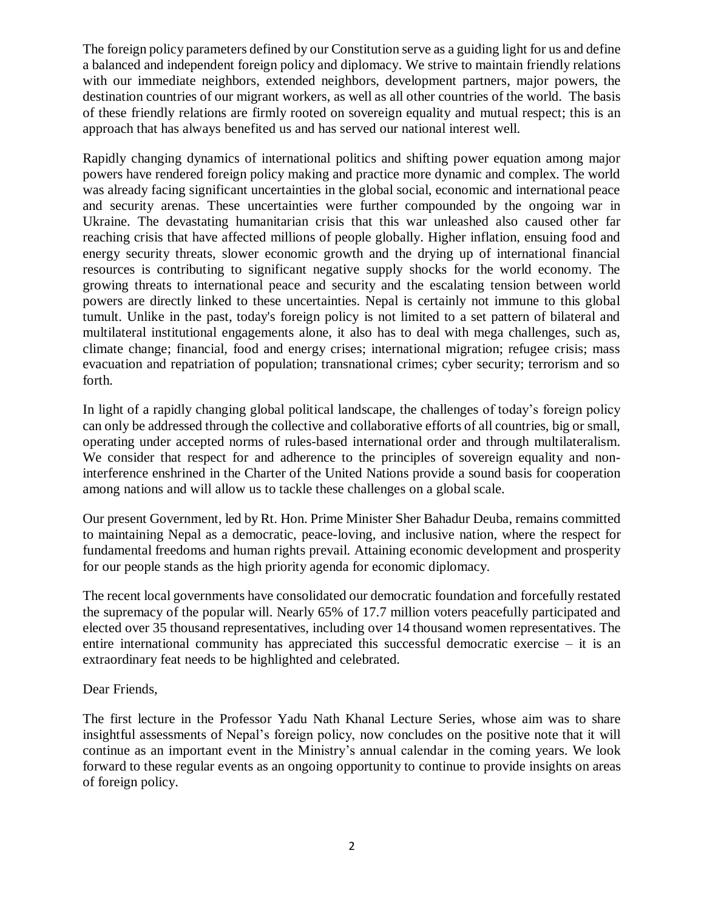The foreign policy parameters defined by our Constitution serve as a guiding light for us and define a balanced and independent foreign policy and diplomacy. We strive to maintain friendly relations with our immediate neighbors, extended neighbors, development partners, major powers, the destination countries of our migrant workers, as well as all other countries of the world. The basis of these friendly relations are firmly rooted on sovereign equality and mutual respect; this is an approach that has always benefited us and has served our national interest well.

Rapidly changing dynamics of international politics and shifting power equation among major powers have rendered foreign policy making and practice more dynamic and complex. The world was already facing significant uncertainties in the global social, economic and international peace and security arenas. These uncertainties were further compounded by the ongoing war in Ukraine. The devastating humanitarian crisis that this war unleashed also caused other far reaching crisis that have affected millions of people globally. Higher inflation, ensuing food and energy security threats, slower economic growth and the drying up of international financial resources is contributing to significant negative supply shocks for the world economy. The growing threats to international peace and security and the escalating tension between world powers are directly linked to these uncertainties. Nepal is certainly not immune to this global tumult. Unlike in the past, today's foreign policy is not limited to a set pattern of bilateral and multilateral institutional engagements alone, it also has to deal with mega challenges, such as, climate change; financial, food and energy crises; international migration; refugee crisis; mass evacuation and repatriation of population; transnational crimes; cyber security; terrorism and so forth.

In light of a rapidly changing global political landscape, the challenges of today's foreign policy can only be addressed through the collective and collaborative efforts of all countries, big or small, operating under accepted norms of rules-based international order and through multilateralism. We consider that respect for and adherence to the principles of sovereign equality and noninterference enshrined in the Charter of the United Nations provide a sound basis for cooperation among nations and will allow us to tackle these challenges on a global scale.

Our present Government, led by Rt. Hon. Prime Minister Sher Bahadur Deuba, remains committed to maintaining Nepal as a democratic, peace-loving, and inclusive nation, where the respect for fundamental freedoms and human rights prevail. Attaining economic development and prosperity for our people stands as the high priority agenda for economic diplomacy.

The recent local governments have consolidated our democratic foundation and forcefully restated the supremacy of the popular will. Nearly 65% of 17.7 million voters peacefully participated and elected over 35 thousand representatives, including over 14 thousand women representatives. The entire international community has appreciated this successful democratic exercise – it is an extraordinary feat needs to be highlighted and celebrated.

## Dear Friends,

The first lecture in the Professor Yadu Nath Khanal Lecture Series, whose aim was to share insightful assessments of Nepal's foreign policy, now concludes on the positive note that it will continue as an important event in the Ministry's annual calendar in the coming years. We look forward to these regular events as an ongoing opportunity to continue to provide insights on areas of foreign policy.